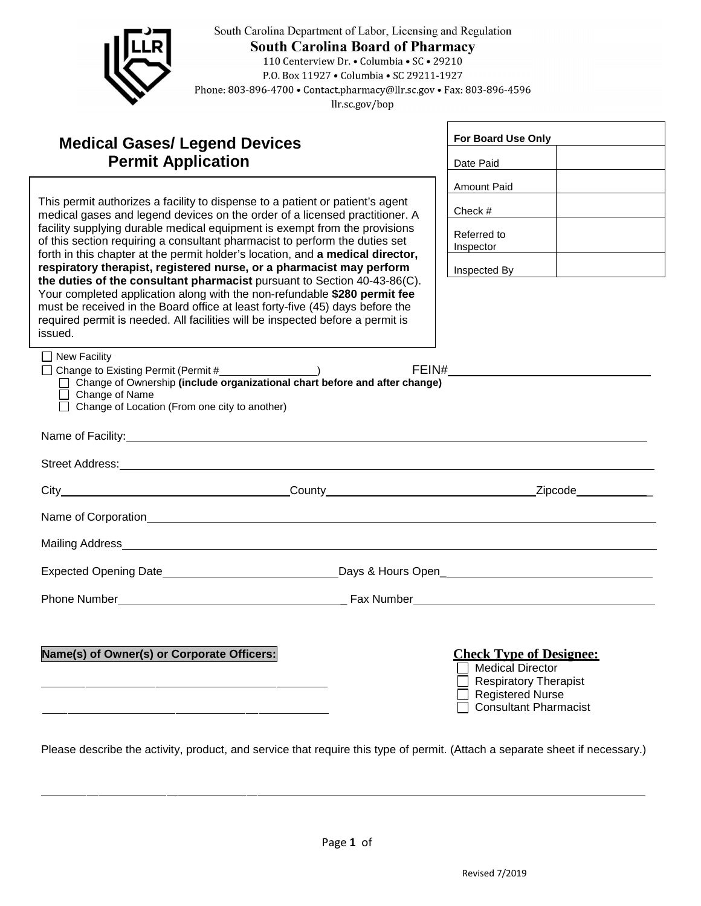

## South Carolina Department of Labor, Licensing and Regulation **South Carolina Board of Pharmacy** 110 Centerview Dr. • Columbia • SC • 29210

P.O. Box 11927 . Columbia . SC 29211-1927

Phone: 803-896-4700 · Contact.pharmacy@llr.sc.gov · Fax: 803-896-4596

llr.sc.gov/bop

## **Medical Gases/ Legend Devices Permit Application**

facility supplying durable medical equipment is exempt from the provisions This permit authorizes a facility to dispense to a patient or patient's agent medical gases and legend devices on the order of a licensed practitioner. A of this section requiring a consultant pharmacist to perform the duties set forth in this chapter at the permit holder's location, and **a medical director, respiratory therapist, registered nurse, or a pharmacist may perform the duties of the consultant pharmacist** pursuant to Section 40-43-86(C). Your completed application along with the non-refundable **\$280 permit fee**  must be received in the Board office at least forty-five (45) days before the required permit is needed. All facilities will be inspected before a permit is issued.

| For Board Use Only       |  |  |
|--------------------------|--|--|
| Date Paid                |  |  |
| <b>Amount Paid</b>       |  |  |
| Check #                  |  |  |
| Referred to<br>Inspector |  |  |
| Inspected By             |  |  |

New Facility

| □ Change to Existing Permit (Permit # | FEIN# |
|---------------------------------------|-------|
|                                       |       |

| nange to Existing Permit (Permi     |  |
|-------------------------------------|--|
| $\top$ Change of Ownership lineling |  |

Change of Ownership **(include organizational chart before and after change)**

| Change of Name          |  |  |
|-------------------------|--|--|
| Change of Location (Fre |  |  |

|  | Change of Location (From one city to another) |
|--|-----------------------------------------------|
|--|-----------------------------------------------|

| $\begin{array}{c} \text{Country} \end{array}$ | _Zipcode______________ |  |
|-----------------------------------------------|------------------------|--|
|                                               |                        |  |
|                                               |                        |  |
|                                               |                        |  |
|                                               |                        |  |
|                                               |                        |  |

## **Name(s) of Owner(s) or Corporate Officers:**

## **Check Type of Designee:**

Medical Director Respiratory Therapist

Registered Nurse

Consultant Pharmacist

Please describe the activity, product, and service that require this type of permit. (Attach a separate sheet if necessary.)